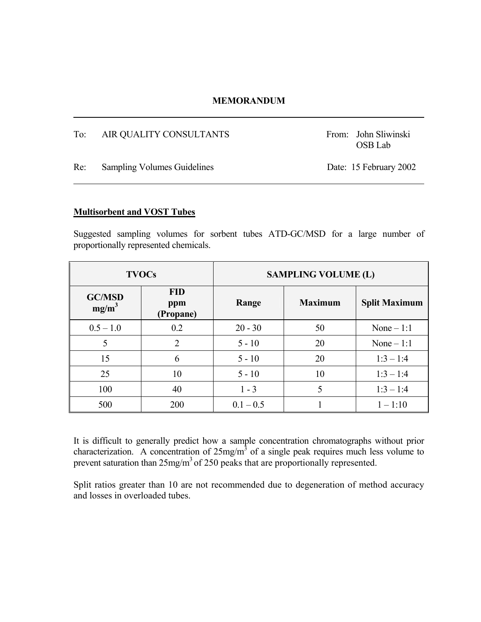# **MEMORANDUM**

### To: AIR QUALITY CONSULTANTS From: John Sliwinski OSB Lab

Re: Sampling Volumes Guidelines **Date: 15 February 2002** 

#### **Multisorbent and VOST Tubes**

Suggested sampling volumes for sorbent tubes ATD-GC/MSD for a large number of proportionally represented chemicals.

| <b>TVOCs</b>              |                                | <b>SAMPLING VOLUME (L)</b> |                |                      |
|---------------------------|--------------------------------|----------------------------|----------------|----------------------|
| <b>GC/MSD</b><br>$mg/m^3$ | <b>FID</b><br>ppm<br>(Propane) | Range                      | <b>Maximum</b> | <b>Split Maximum</b> |
| $0.5 - 1.0$               | 0.2                            | $20 - 30$                  | 50             | None $-1:1$          |
| 5                         | 2                              | $5 - 10$                   | 20             | None $-1:1$          |
| 15                        | 6                              | $5 - 10$                   | 20             | $1:3 - 1:4$          |
| 25                        | 10                             | $5 - 10$                   | 10             | $1:3 - 1:4$          |
| 100                       | 40                             | $1 - 3$                    | 5              | $1:3 - 1:4$          |
| 500                       | 200                            | $0.1 - 0.5$                |                | $1 - 1:10$           |

It is difficult to generally predict how a sample concentration chromatographs without prior characterization. A concentration of  $25mg/m<sup>3</sup>$  of a single peak requires much less volume to prevent saturation than  $25mg/m<sup>3</sup>$  of 250 peaks that are proportionally represented.

Split ratios greater than 10 are not recommended due to degeneration of method accuracy and losses in overloaded tubes.